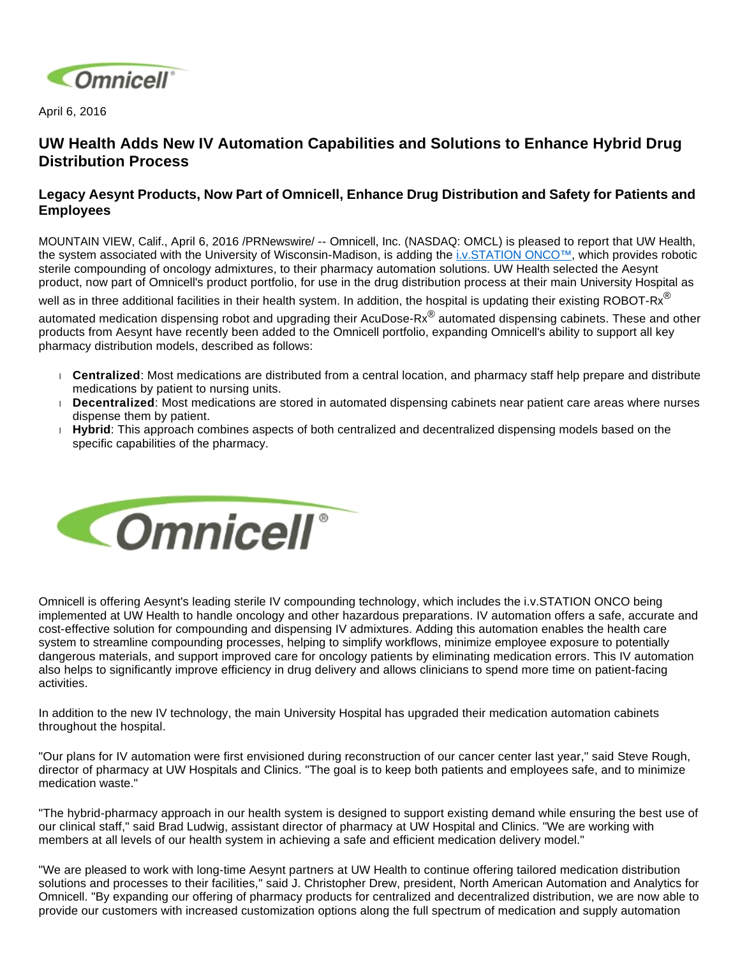

April 6, 2016

## **UW Health Adds New IV Automation Capabilities and Solutions to Enhance Hybrid Drug Distribution Process**

## **Legacy Aesynt Products, Now Part of Omnicell, Enhance Drug Distribution and Safety for Patients and Employees**

MOUNTAIN VIEW, Calif., April 6, 2016 /PRNewswire/ -- Omnicell, Inc. (NASDAQ: OMCL) is pleased to report that UW Health, the system associated with the University of Wisconsin-Madison, is adding the [i.v.STATION ONCO™](http://aesynt.com/iv-solutions/iv-station-onco), which provides robotic sterile compounding of oncology admixtures, to their pharmacy automation solutions. UW Health selected the Aesynt product, now part of Omnicell's product portfolio, for use in the drug distribution process at their main University Hospital as

well as in three additional facilities in their health system. In addition, the hospital is updating their existing ROBOT-Rx<sup>®</sup>

automated medication dispensing robot and upgrading their AcuDose-Rx® automated dispensing cabinets. These and other products from Aesynt have recently been added to the Omnicell portfolio, expanding Omnicell's ability to support all key pharmacy distribution models, described as follows:

- **Centralized**: Most medications are distributed from a central location, and pharmacy staff help prepare and distribute medications by patient to nursing units.
- **Decentralized**: Most medications are stored in automated dispensing cabinets near patient care areas where nurses dispense them by patient.
- **Hybrid**: This approach combines aspects of both centralized and decentralized dispensing models based on the specific capabilities of the pharmacy.



Omnicell is offering Aesynt's leading sterile IV compounding technology, which includes the i.v.STATION ONCO being implemented at UW Health to handle oncology and other hazardous preparations. IV automation offers a safe, accurate and cost-effective solution for compounding and dispensing IV admixtures. Adding this automation enables the health care system to streamline compounding processes, helping to simplify workflows, minimize employee exposure to potentially dangerous materials, and support improved care for oncology patients by eliminating medication errors. This IV automation also helps to significantly improve efficiency in drug delivery and allows clinicians to spend more time on patient-facing activities.

In addition to the new IV technology, the main University Hospital has upgraded their medication automation cabinets throughout the hospital.

"Our plans for IV automation were first envisioned during reconstruction of our cancer center last year," said Steve Rough, director of pharmacy at UW Hospitals and Clinics. "The goal is to keep both patients and employees safe, and to minimize medication waste."

"The hybrid-pharmacy approach in our health system is designed to support existing demand while ensuring the best use of our clinical staff," said Brad Ludwig, assistant director of pharmacy at UW Hospital and Clinics. "We are working with members at all levels of our health system in achieving a safe and efficient medication delivery model."

"We are pleased to work with long-time Aesynt partners at UW Health to continue offering tailored medication distribution solutions and processes to their facilities," said J. Christopher Drew, president, North American Automation and Analytics for Omnicell. "By expanding our offering of pharmacy products for centralized and decentralized distribution, we are now able to provide our customers with increased customization options along the full spectrum of medication and supply automation